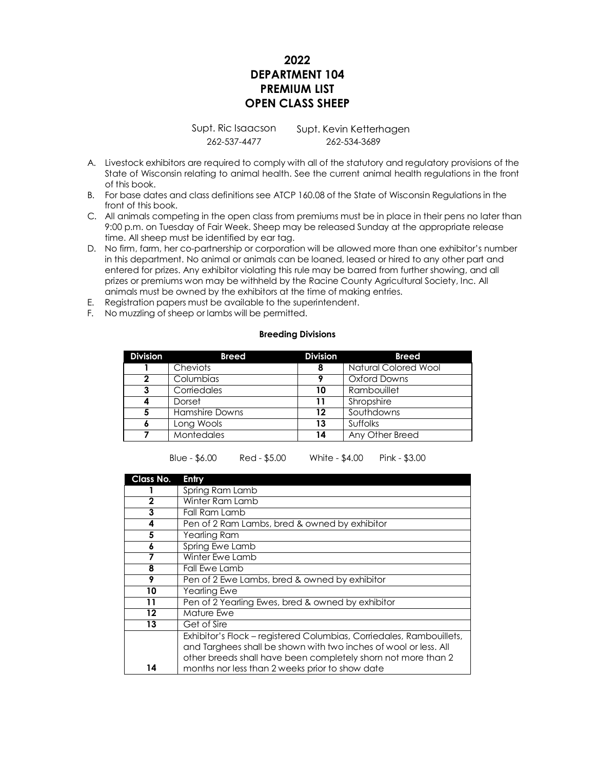## **2022 DEPARTMENT 104 PREMIUM LIST OPEN CLASS SHEEP**

Supt. Ric Isaacson Supt. Kevin Ketterhagen 262-537-4477 262-534-3689

- A. Livestock exhibitors are required to comply with all of the statutory and regulatory provisions of the State of Wisconsin relating to animal health. See the current animal health regulations in the front of this book.
- B. For base dates and class definitions see ATCP 160.08 of the State of Wisconsin Regulations in the front of this book.
- C. All animals competing in the open class from premiums must be in place in their pens no later than 9:00 p.m. on Tuesday of Fair Week. Sheep may be released Sunday at the appropriate release time. All sheep must be identified by ear tag.
- D. No firm, farm, her co-partnership or corporation will be allowed more than one exhibitor's number in this department. No animal or animals can be loaned, leased or hired to any other part and entered for prizes. Any exhibitor violating this rule may be barred from further showing, and all prizes or premiums won may be withheld by the Racine County Agricultural Society, Inc. All animals must be owned by the exhibitors at the time of making entries.
- E. Registration papers must be available to the superintendent.
- F. No muzzling of sheep or lambs will be permitted.

## **Breeding Divisions**

| <b>Division</b> | <b>Breed</b>      | <b>Division</b> | <b>Breed</b>                |
|-----------------|-------------------|-----------------|-----------------------------|
|                 | Cheviots          | 8               | <b>Natural Colored Wool</b> |
| 2               | Columbias         | Q               | Oxford Downs                |
| 3               | Corriedales       | 10              | Rambouillet                 |
| 4               | Dorset            | 11              | Shropshire                  |
| 5               | Hamshire Downs    | 12              | Southdowns                  |
| 6               | Long Wools        | 13              | <b>Suffolks</b>             |
|                 | <b>Montedales</b> | 14              | Any Other Breed             |

Blue - \$6.00 Red - \$5.00 White - \$4.00 Pink - \$3.00

| Class No.   | Entry                                                                |  |
|-------------|----------------------------------------------------------------------|--|
|             | Spring Ram Lamb                                                      |  |
| $\mathbf 2$ | Winter Ram Lamb                                                      |  |
| 3           | Fall Ram Lamb                                                        |  |
| 4           | Pen of 2 Ram Lambs, bred & owned by exhibitor                        |  |
| 5           | Yearling Ram                                                         |  |
| 6           | Spring Ewe Lamb                                                      |  |
|             | Winter Ewe Lamb                                                      |  |
| 8           | Fall Ewe Lamb                                                        |  |
| 9           | Pen of 2 Ewe Lambs, bred & owned by exhibitor                        |  |
| 10          | Yearling Ewe                                                         |  |
| 11          | Pen of 2 Yearling Ewes, bred & owned by exhibitor                    |  |
| $12 \,$     | Mature Ewe                                                           |  |
| 13          | Get of Sire                                                          |  |
|             | Exhibitor's Flock - registered Columbias, Corriedales, Rambouillets, |  |
|             | and Targhees shall be shown with two inches of wool or less. All     |  |
|             | other breeds shall have been completely shorn not more than 2        |  |
| 14          | months nor less than 2 weeks prior to show date                      |  |